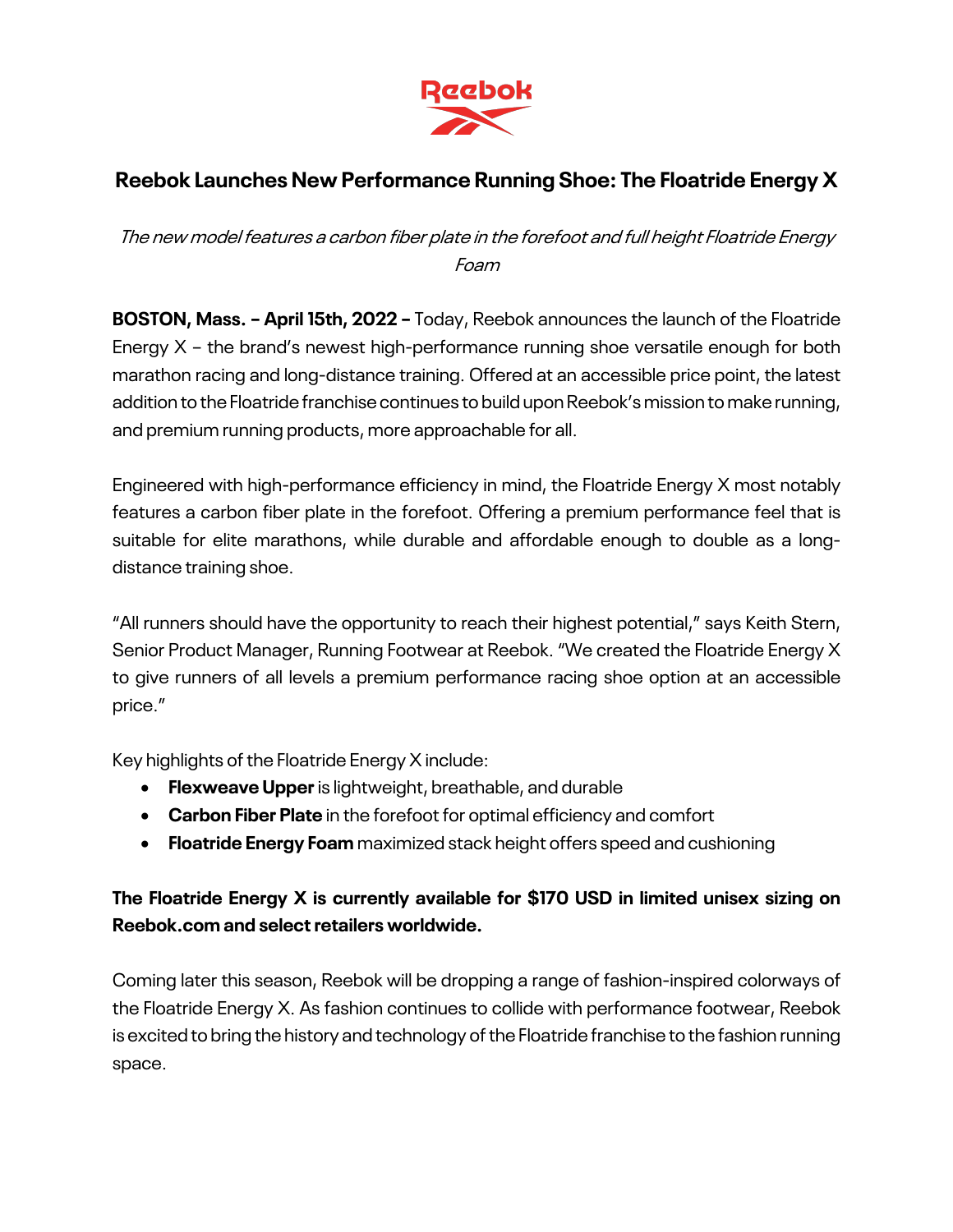

## **Reebok Launches New Performance Running Shoe: The Floatride Energy X**

The new model features a carbon fiber plate in the forefoot and full height Floatride Energy Foam

**BOSTON, Mass. – April 15th, 2022 –** Today, Reebok announces the launch of the Floatride Energy X – the brand's newest high-performance running shoe versatile enough for both marathon racing and long-distance training. Offered at an accessible price point, the latest addition to the Floatride franchise continues to build upon Reebok's mission to make running, and premium running products, more approachable for all.

Engineered with high-performance efficiency in mind, the Floatride Energy X most notably features a carbon fiber plate in the forefoot. Offering a premium performance feel that is suitable for elite marathons, while durable and affordable enough to double as a longdistance training shoe.

"All runners should have the opportunity to reach their highest potential," says Keith Stern, Senior Product Manager, Running Footwear at Reebok. "We created the Floatride Energy X to give runners of all levels a premium performance racing shoe option at an accessible price."

Key highlights of the Floatride Energy X include:

- **Flexweave Upper**is lightweight, breathable, and durable
- **Carbon Fiber Plate** in the forefoot for optimal efficiency and comfort
- **Floatride Energy Foam** maximized stack height offers speed and cushioning

## **The Floatride Energy X is currently available for \$170 USD in limited unisex sizing on Reebok.com and select retailers worldwide.**

Coming later this season, Reebok will be dropping a range of fashion-inspired colorways of the Floatride Energy X. As fashion continues to collide with performance footwear, Reebok is excited to bring the history and technology of the Floatride franchise to the fashion running space.